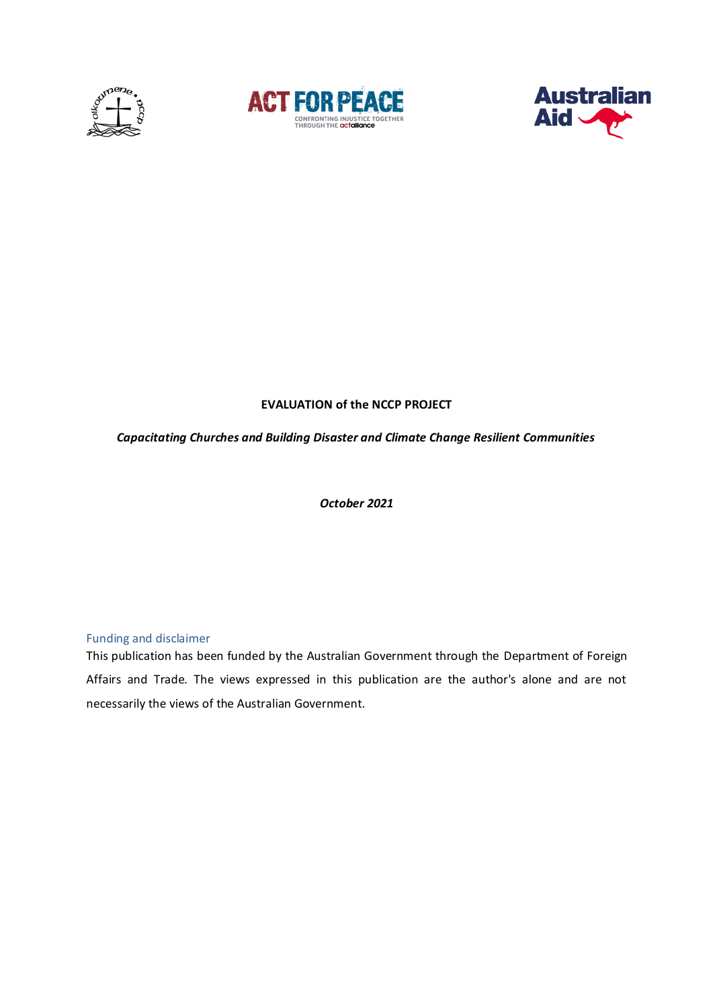





# **EVALUATION of the NCCP PROJECT**

### *Capacitating Churches and Building Disaster and Climate Change Resilient Communities*

*October 2021*

# Funding and disclaimer

This publication has been funded by the Australian Government through the Department of Foreign Affairs and Trade. The views expressed in this publication are the author's alone and are not necessarily the views of the Australian Government.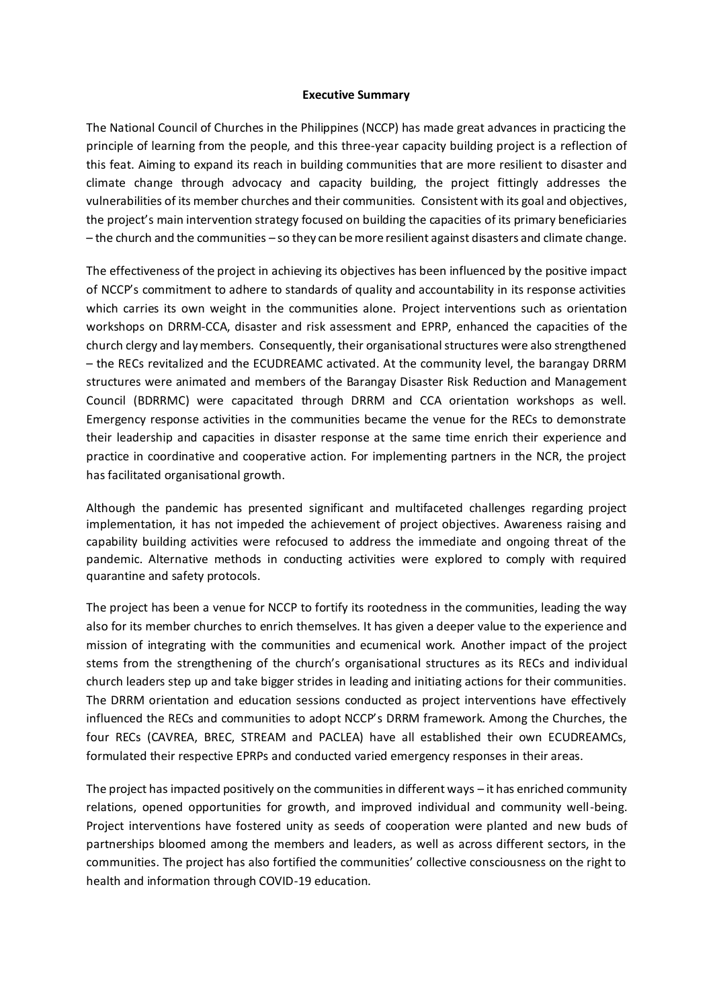#### **Executive Summary**

The National Council of Churches in the Philippines (NCCP) has made great advances in practicing the principle of learning from the people, and this three-year capacity building project is a reflection of this feat. Aiming to expand its reach in building communities that are more resilient to disaster and climate change through advocacy and capacity building, the project fittingly addresses the vulnerabilities of its member churches and their communities. Consistent with its goal and objectives, the project's main intervention strategy focused on building the capacities of its primary beneficiaries – the church and the communities – so they can be more resilient against disasters and climate change.

The effectiveness of the project in achieving its objectives has been influenced by the positive impact of NCCP's commitment to adhere to standards of quality and accountability in its response activities which carries its own weight in the communities alone. Project interventions such as orientation workshops on DRRM-CCA, disaster and risk assessment and EPRP, enhanced the capacities of the church clergy and lay members. Consequently, their organisational structures were also strengthened – the RECs revitalized and the ECUDREAMC activated. At the community level, the barangay DRRM structures were animated and members of the Barangay Disaster Risk Reduction and Management Council (BDRRMC) were capacitated through DRRM and CCA orientation workshops as well. Emergency response activities in the communities became the venue for the RECs to demonstrate their leadership and capacities in disaster response at the same time enrich their experience and practice in coordinative and cooperative action. For implementing partners in the NCR, the project has facilitated organisational growth.

Although the pandemic has presented significant and multifaceted challenges regarding project implementation, it has not impeded the achievement of project objectives. Awareness raising and capability building activities were refocused to address the immediate and ongoing threat of the pandemic. Alternative methods in conducting activities were explored to comply with required quarantine and safety protocols.

The project has been a venue for NCCP to fortify its rootedness in the communities, leading the way also for its member churches to enrich themselves. It has given a deeper value to the experience and mission of integrating with the communities and ecumenical work. Another impact of the project stems from the strengthening of the church's organisational structures as its RECs and individual church leaders step up and take bigger strides in leading and initiating actions for their communities. The DRRM orientation and education sessions conducted as project interventions have effectively influenced the RECs and communities to adopt NCCP's DRRM framework. Among the Churches, the four RECs (CAVREA, BREC, STREAM and PACLEA) have all established their own ECUDREAMCs, formulated their respective EPRPs and conducted varied emergency responses in their areas.

The project has impacted positively on the communities in different ways – it has enriched community relations, opened opportunities for growth, and improved individual and community well-being. Project interventions have fostered unity as seeds of cooperation were planted and new buds of partnerships bloomed among the members and leaders, as well as across different sectors, in the communities. The project has also fortified the communities' collective consciousness on the right to health and information through COVID-19 education.